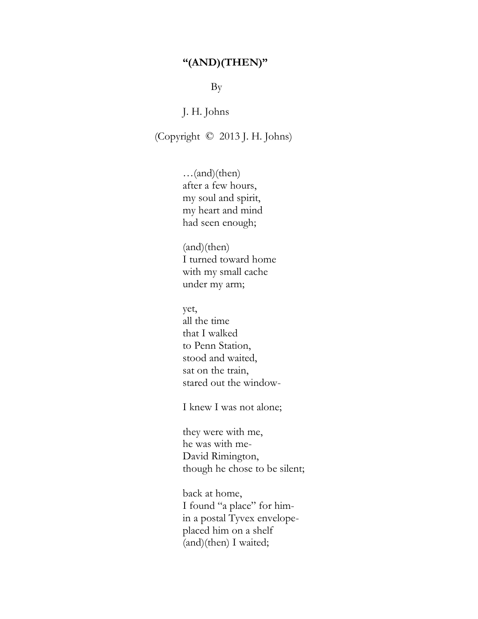## **"(AND)(THEN)"**

By

J. H. Johns

(Copyright © 2013 J. H. Johns)

…(and)(then) after a few hours, my soul and spirit, my heart and mind had seen enough;

(and)(then) I turned toward home with my small cache under my arm;

yet, all the time that I walked to Penn Station, stood and waited, sat on the train, stared out the window-

I knew I was not alone;

they were with me, he was with me-David Rimington, though he chose to be silent;

back at home, I found "a place" for himin a postal Tyvex envelopeplaced him on a shelf (and)(then) I waited;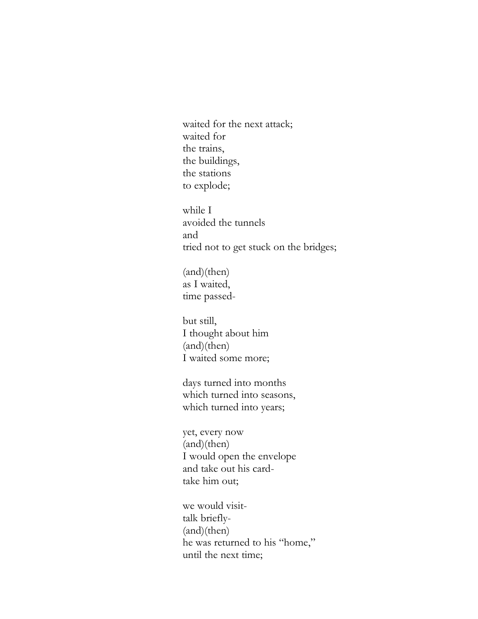waited for the next attack; waited for the trains, the buildings, the stations to explode;

while I avoided the tunnels and tried not to get stuck on the bridges;

(and)(then) as I waited, time passed-

but still, I thought about him (and)(then) I waited some more;

days turned into months which turned into seasons, which turned into years;

yet, every now (and)(then) I would open the envelope and take out his cardtake him out;

we would visittalk briefly- (and)(then) he was returned to his "home," until the next time;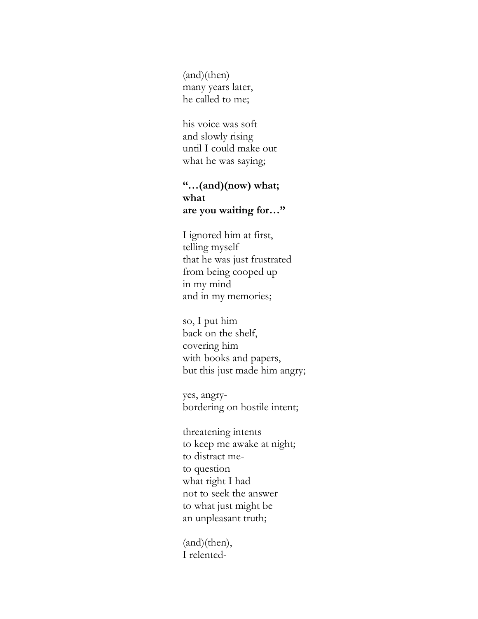(and)(then) many years later, he called to me;

his voice was soft and slowly rising until I could make out what he was saying;

## **"…(and)(now) what; what are you waiting for…"**

I ignored him at first, telling myself that he was just frustrated from being cooped up in my mind and in my memories;

so, I put him back on the shelf, covering him with books and papers, but this just made him angry;

yes, angrybordering on hostile intent;

threatening intents to keep me awake at night; to distract meto question what right I had not to seek the answer to what just might be an unpleasant truth;

(and)(then), I relented-